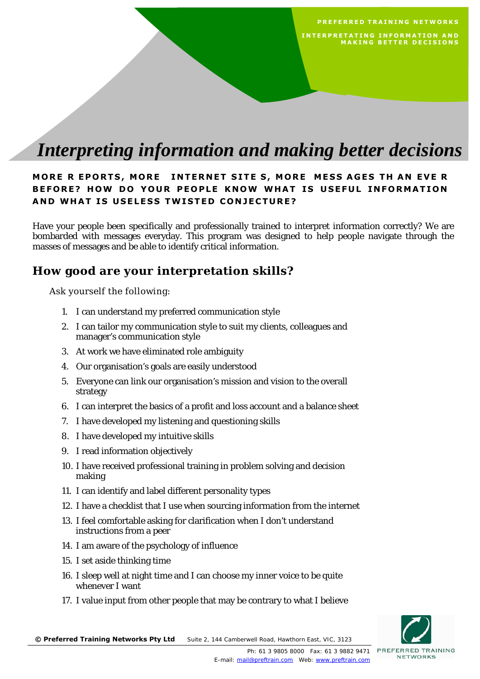# *Interpreting information and making better decisions*

#### **MORE R EPORTS, MORE INTERNET SITE S, MORE MESS AGES TH AN EVE R BEFORE? HOW DO YOUR PEOPLE KNOW WHAT IS USEFUL INFORMATION AND WHAT IS USELESS TWISTED CONJECTURE?**

Have your people been specifically and professionally trained to interpret information correctly? We are bombarded with messages everyday. This program was designed to help people navigate through the masses of messages and be able to identify critical information.

### **How good are your interpretation skills?**

Ask yourself the following:

- 1. I can understand my preferred communication style
- 2. I can tailor my communication style to suit my clients, colleagues and manager's communication style
- 3. At work we have eliminated role ambiguity
- 4. Our organisation's goals are easily understood
- 5. Everyone can link our organisation's mission and vision to the overall strategy
- 6. I can interpret the basics of a profit and loss account and a balance sheet
- 7. I have developed my listening and questioning skills
- 8. I have developed my intuitive skills
- 9. I read information objectively
- 10. I have received professional training in problem solving and decision making
- 11. I can identify and label different personality types
- 12. I have a checklist that I use when sourcing information from the internet
- 13. I feel comfortable asking for clarification when I don't understand instructions from a peer
- 14. I am aware of the psychology of influence
- 15. I set aside thinking time
- 16. I sleep well at night time and I can choose my inner voice to be quite whenever I want
- 17. I value input from other people that may be contrary to what I believe



 **PREFERRED TRAINING NETWORKS**

**MAKING BETTER DECISIONS** 

 **INTERPRETATING INFORMATION AND**